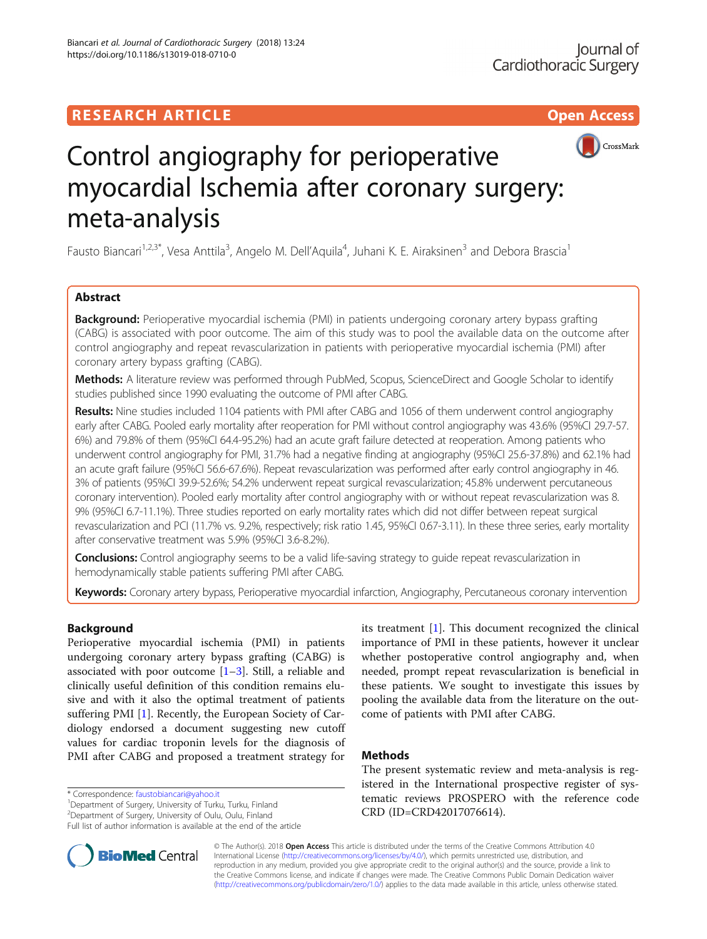## **RESEARCH ARTICLE Example 2018 12:30 THE OPEN ACCESS**



# Control angiography for perioperative myocardial Ischemia after coronary surgery: meta-analysis

Fausto Biancari<sup>1,2,3\*</sup>, Vesa Anttila<sup>3</sup>, Angelo M. Dell'Aquila<sup>4</sup>, Juhani K. E. Airaksinen<sup>3</sup> and Debora Brascia<sup>1</sup>

## Abstract

**Background:** Perioperative myocardial ischemia (PMI) in patients undergoing coronary artery bypass grafting (CABG) is associated with poor outcome. The aim of this study was to pool the available data on the outcome after control angiography and repeat revascularization in patients with perioperative myocardial ischemia (PMI) after coronary artery bypass grafting (CABG).

Methods: A literature review was performed through PubMed, Scopus, ScienceDirect and Google Scholar to identify studies published since 1990 evaluating the outcome of PMI after CABG.

Results: Nine studies included 1104 patients with PMI after CABG and 1056 of them underwent control angiography early after CABG. Pooled early mortality after reoperation for PMI without control angiography was 43.6% (95%CI 29.7-57. 6%) and 79.8% of them (95%CI 64.4-95.2%) had an acute graft failure detected at reoperation. Among patients who underwent control angiography for PMI, 31.7% had a negative finding at angiography (95%CI 25.6-37.8%) and 62.1% had an acute graft failure (95%CI 56.6-67.6%). Repeat revascularization was performed after early control angiography in 46. 3% of patients (95%CI 39.9-52.6%; 54.2% underwent repeat surgical revascularization; 45.8% underwent percutaneous coronary intervention). Pooled early mortality after control angiography with or without repeat revascularization was 8. 9% (95%CI 6.7-11.1%). Three studies reported on early mortality rates which did not differ between repeat surgical revascularization and PCI (11.7% vs. 9.2%, respectively; risk ratio 1.45, 95%CI 0.67-3.11). In these three series, early mortality after conservative treatment was 5.9% (95%CI 3.6-8.2%).

Conclusions: Control angiography seems to be a valid life-saving strategy to guide repeat revascularization in hemodynamically stable patients suffering PMI after CABG.

Keywords: Coronary artery bypass, Perioperative myocardial infarction, Angiography, Percutaneous coronary intervention

## Background

Perioperative myocardial ischemia (PMI) in patients undergoing coronary artery bypass grafting (CABG) is associated with poor outcome  $[1-3]$  $[1-3]$  $[1-3]$ . Still, a reliable and clinically useful definition of this condition remains elusive and with it also the optimal treatment of patients suffering PMI [[1\]](#page-6-0). Recently, the European Society of Cardiology endorsed a document suggesting new cutoff values for cardiac troponin levels for the diagnosis of PMI after CABG and proposed a treatment strategy for

\* Correspondence: [faustobiancari@yahoo.it](mailto:faustobiancari@yahoo.it) <sup>1</sup>

<sup>1</sup>Department of Surgery, University of Turku, Turku, Finland

<sup>2</sup> Department of Surgery, University of Oulu, Oulu, Finland

Full list of author information is available at the end of the article

its treatment [[1\]](#page-6-0). This document recognized the clinical importance of PMI in these patients, however it unclear whether postoperative control angiography and, when needed, prompt repeat revascularization is beneficial in these patients. We sought to investigate this issues by pooling the available data from the literature on the outcome of patients with PMI after CABG.

## Methods

The present systematic review and meta-analysis is registered in the International prospective register of systematic reviews PROSPERO with the reference code CRD (ID=CRD42017076614).



© The Author(s). 2018 Open Access This article is distributed under the terms of the Creative Commons Attribution 4.0 International License [\(http://creativecommons.org/licenses/by/4.0/](http://creativecommons.org/licenses/by/4.0/)), which permits unrestricted use, distribution, and reproduction in any medium, provided you give appropriate credit to the original author(s) and the source, provide a link to the Creative Commons license, and indicate if changes were made. The Creative Commons Public Domain Dedication waiver [\(http://creativecommons.org/publicdomain/zero/1.0/](http://creativecommons.org/publicdomain/zero/1.0/)) applies to the data made available in this article, unless otherwise stated.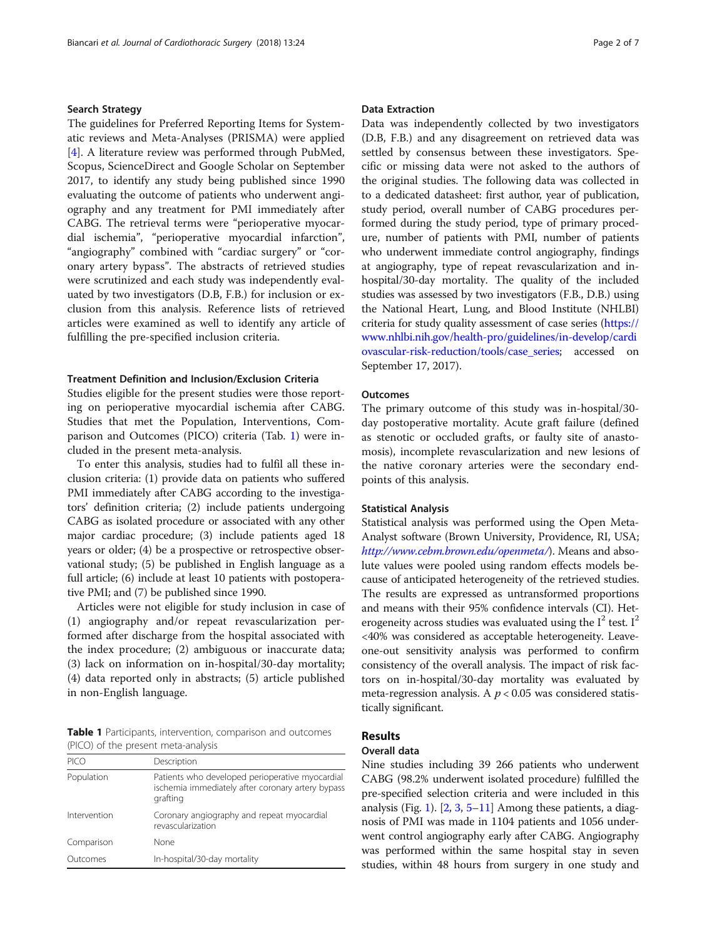### <span id="page-1-0"></span>Search Strategy

The guidelines for Preferred Reporting Items for Systematic reviews and Meta-Analyses (PRISMA) were applied [[4\]](#page-6-0). A literature review was performed through PubMed, Scopus, ScienceDirect and Google Scholar on September 2017, to identify any study being published since 1990 evaluating the outcome of patients who underwent angiography and any treatment for PMI immediately after CABG. The retrieval terms were "perioperative myocardial ischemia", "perioperative myocardial infarction", "angiography" combined with "cardiac surgery" or "coronary artery bypass". The abstracts of retrieved studies were scrutinized and each study was independently evaluated by two investigators (D.B, F.B.) for inclusion or exclusion from this analysis. Reference lists of retrieved articles were examined as well to identify any article of fulfilling the pre-specified inclusion criteria.

#### Treatment Definition and Inclusion/Exclusion Criteria

Studies eligible for the present studies were those reporting on perioperative myocardial ischemia after CABG. Studies that met the Population, Interventions, Comparison and Outcomes (PICO) criteria (Tab. 1) were included in the present meta-analysis.

To enter this analysis, studies had to fulfil all these inclusion criteria: (1) provide data on patients who suffered PMI immediately after CABG according to the investigators' definition criteria; (2) include patients undergoing CABG as isolated procedure or associated with any other major cardiac procedure; (3) include patients aged 18 years or older; (4) be a prospective or retrospective observational study; (5) be published in English language as a full article; (6) include at least 10 patients with postoperative PMI; and (7) be published since 1990.

Articles were not eligible for study inclusion in case of (1) angiography and/or repeat revascularization performed after discharge from the hospital associated with the index procedure; (2) ambiguous or inaccurate data; (3) lack on information on in-hospital/30-day mortality; (4) data reported only in abstracts; (5) article published in non-English language.

Table 1 Participants, intervention, comparison and outcomes (PICO) of the present meta-analysis

| PICO         | Description                                                                                                      |
|--------------|------------------------------------------------------------------------------------------------------------------|
| Population   | Patients who developed perioperative myocardial<br>ischemia immediately after coronary artery bypass<br>grafting |
| Intervention | Coronary angiography and repeat myocardial<br>revascularization                                                  |
| Comparison   | None                                                                                                             |
| Outcomes     | In-hospital/30-day mortality                                                                                     |

#### Data Extraction

Data was independently collected by two investigators (D.B, F.B.) and any disagreement on retrieved data was settled by consensus between these investigators. Specific or missing data were not asked to the authors of the original studies. The following data was collected in to a dedicated datasheet: first author, year of publication, study period, overall number of CABG procedures performed during the study period, type of primary procedure, number of patients with PMI, number of patients who underwent immediate control angiography, findings at angiography, type of repeat revascularization and inhospital/30-day mortality. The quality of the included studies was assessed by two investigators (F.B., D.B.) using the National Heart, Lung, and Blood Institute (NHLBI) criteria for study quality assessment of case series [\(https://](https://www.nhlbi.nih.gov/health-pro/guidelines/in-develop/cardiovascular-risk-reduction/tools/case_series) [www.nhlbi.nih.gov/health-pro/guidelines/in-develop/cardi](https://www.nhlbi.nih.gov/health-pro/guidelines/in-develop/cardiovascular-risk-reduction/tools/case_series) [ovascular-risk-reduction/tools/case\\_series](https://www.nhlbi.nih.gov/health-pro/guidelines/in-develop/cardiovascular-risk-reduction/tools/case_series); accessed on September 17, 2017).

#### **Outcomes**

The primary outcome of this study was in-hospital/30 day postoperative mortality. Acute graft failure (defined as stenotic or occluded grafts, or faulty site of anastomosis), incomplete revascularization and new lesions of the native coronary arteries were the secondary endpoints of this analysis.

#### Statistical Analysis

Statistical analysis was performed using the Open Meta-Analyst software (Brown University, Providence, RI, USA; <http://www.cebm.brown.edu/openmeta/>). Means and absolute values were pooled using random effects models because of anticipated heterogeneity of the retrieved studies. The results are expressed as untransformed proportions and means with their 95% confidence intervals (CI). Heterogeneity across studies was evaluated using the  $I^2$  test.  $I^2$ <40% was considered as acceptable heterogeneity. Leaveone-out sensitivity analysis was performed to confirm consistency of the overall analysis. The impact of risk factors on in-hospital/30-day mortality was evaluated by meta-regression analysis. A  $p < 0.05$  was considered statistically significant.

## Results

## Overall data

Nine studies including 39 266 patients who underwent CABG (98.2% underwent isolated procedure) fulfilled the pre-specified selection criteria and were included in this analysis (Fig. [1\)](#page-2-0). [[2,](#page-6-0) [3](#page-6-0), [5](#page-6-0)–[11](#page-6-0)] Among these patients, a diagnosis of PMI was made in 1104 patients and 1056 underwent control angiography early after CABG. Angiography was performed within the same hospital stay in seven studies, within 48 hours from surgery in one study and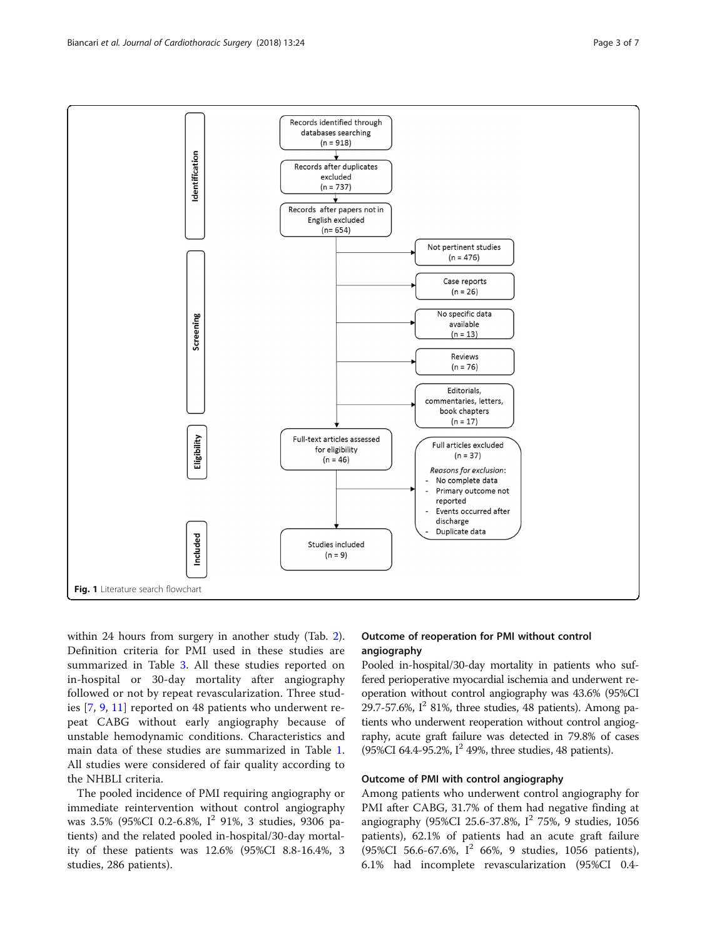<span id="page-2-0"></span>

within 24 hours from surgery in another study (Tab. [2](#page-3-0)). Definition criteria for PMI used in these studies are summarized in Table [3.](#page-4-0) All these studies reported on in-hospital or 30-day mortality after angiography followed or not by repeat revascularization. Three studies [[7,](#page-6-0) [9,](#page-6-0) [11\]](#page-6-0) reported on 48 patients who underwent repeat CABG without early angiography because of unstable hemodynamic conditions. Characteristics and main data of these studies are summarized in Table [1](#page-1-0). All studies were considered of fair quality according to the NHBLI criteria.

The pooled incidence of PMI requiring angiography or immediate reintervention without control angiography was 3.5% (95%CI 0.2-6.8%, 1<sup>2</sup> 91%, 3 studies, 9306 patients) and the related pooled in-hospital/30-day mortality of these patients was 12.6% (95%CI 8.8-16.4%, 3 studies, 286 patients).

## Outcome of reoperation for PMI without control angiography

Pooled in-hospital/30-day mortality in patients who suffered perioperative myocardial ischemia and underwent reoperation without control angiography was 43.6% (95%CI 29.7-57.6%,  $I^2$  81%, three studies, 48 patients). Among patients who underwent reoperation without control angiography, acute graft failure was detected in 79.8% of cases (95%CI 64.4-95.2%,  $I^2$  49%, three studies, 48 patients).

#### Outcome of PMI with control angiography

Among patients who underwent control angiography for PMI after CABG, 31.7% of them had negative finding at angiography (95%CI 25.6-37.8%,  $I^2$  75%, 9 studies, 1056 patients), 62.1% of patients had an acute graft failure (95%CI 56.6-67.6%, I<sup>2</sup> 66%, 9 studies, 1056 patients), 6.1% had incomplete revascularization (95%CI 0.4-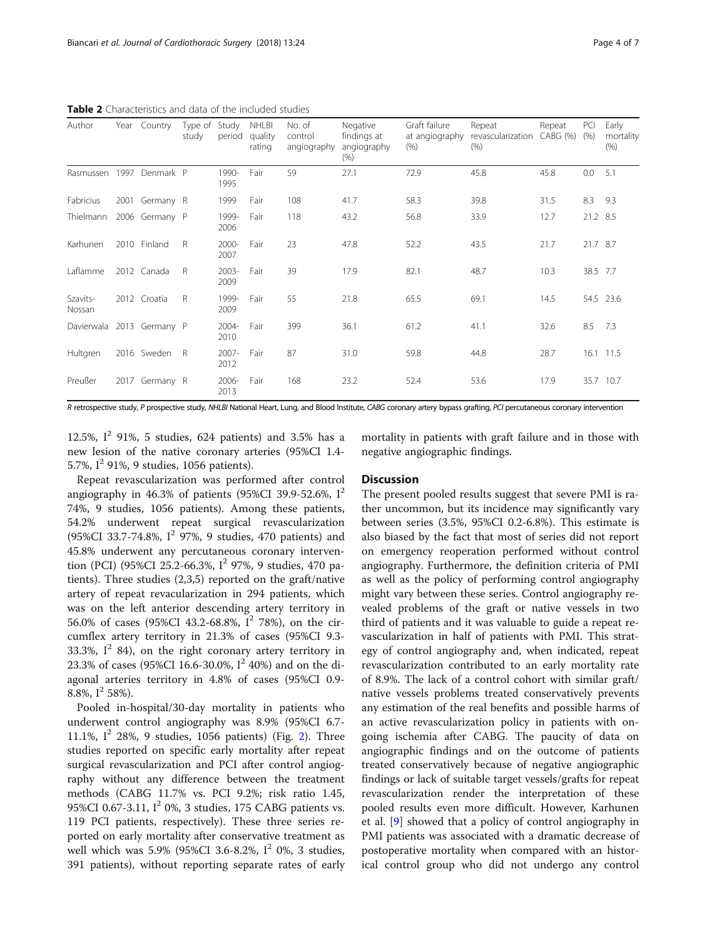| Author                    | Year | Country        | Type of Study<br>study | period           | <b>NHLBI</b><br>quality<br>rating | No. of<br>control<br>angiography | Negative<br>findings at<br>angiography<br>(% ) | Graft failure<br>at angiography<br>(9/6) | Repeat<br>revascularization<br>(% ) | Repeat<br>$CABG$ $(%)$ | PCI<br>(% ) | Early<br>mortality<br>(% ) |
|---------------------------|------|----------------|------------------------|------------------|-----------------------------------|----------------------------------|------------------------------------------------|------------------------------------------|-------------------------------------|------------------------|-------------|----------------------------|
| Rasmussen                 | 1997 | Denmark P      |                        | 1990-<br>1995    | Fair                              | 59                               | 27.1                                           | 72.9                                     | 45.8                                | 45.8                   | 0.0         | 5.1                        |
| Fabricius                 |      | 2001 Germany R |                        | 1999             | Fair                              | 108                              | 41.7                                           | 58.3                                     | 39.8                                | 31.5                   | 8.3         | 9.3                        |
| Thielmann                 |      | 2006 Germany P |                        | 1999-<br>2006    | Fair                              | 118                              | 43.2                                           | 56.8                                     | 33.9                                | 12.7                   | 21.2 8.5    |                            |
| Karhunen                  |      | 2010 Finland   | $\mathsf R$            | 2000-<br>2007    | Fair                              | 23                               | 47.8                                           | 52.2                                     | 43.5                                | 21.7                   | 21.7 8.7    |                            |
| Laflamme                  |      | 2012 Canada    | R                      | $2003 -$<br>2009 | Fair                              | 39                               | 17.9                                           | 82.1                                     | 48.7                                | 10.3                   | 38.5 7.7    |                            |
| Szavits-<br>Nossan        |      | 2012 Croatia   | $\mathsf{R}$           | 1999-<br>2009    | Fair                              | 55                               | 21.8                                           | 65.5                                     | 69.1                                | 14.5                   |             | 54.5 23.6                  |
| Davierwala 2013 Germany P |      |                |                        | 2004-<br>2010    | Fair                              | 399                              | 36.1                                           | 61.2                                     | 41.1                                | 32.6                   | 8.5         | 7.3                        |
| Hultgren                  |      | 2016 Sweden    | - R                    | 2007-<br>2012    | Fair                              | 87                               | 31.0                                           | 59.8                                     | 44.8                                | 28.7                   |             | 16.1 11.5                  |
| Preußer                   |      | 2017 Germany R |                        | 2006-<br>2013    | Fair                              | 168                              | 23.2                                           | 52.4                                     | 53.6                                | 17.9                   | 35.7        | 10.7                       |

<span id="page-3-0"></span>Table 2 Characteristics and data of the included studies

R retrospective study, P prospective study, NHLBI National Heart, Lung, and Blood Institute, CABG coronary artery bypass grafting, PCI percutaneous coronary intervention

12.5%,  $I^2$  91%, 5 studies, 624 patients) and 3.5% has a new lesion of the native coronary arteries (95%CI 1.4- 5.7%,  $I^2$  91%, 9 studies, 1056 patients).

Repeat revascularization was performed after control angiography in 46.3% of patients (95%CI 39.9-52.6%,  $I^2$ 74%, 9 studies, 1056 patients). Among these patients, 54.2% underwent repeat surgical revascularization (95%CI 33.7-74.8%,  $I^2$  97%, 9 studies, 470 patients) and 45.8% underwent any percutaneous coronary intervention (PCI) (95%CI 25.2-66.3%,  $I^2$  97%, 9 studies, 470 patients). Three studies (2,3,5) reported on the graft/native artery of repeat revacularization in 294 patients, which was on the left anterior descending artery territory in 56.0% of cases (95%CI 43.2-68.8%,  $I^2$  78%), on the circumflex artery territory in 21.3% of cases (95%CI 9.3- 33.3%,  $I^2$  84), on the right coronary artery territory in 23.3% of cases (95%CI 16.6-30.0%,  $I^2$  40%) and on the diagonal arteries territory in 4.8% of cases (95%CI 0.9- 8.8%,  $I^2$  58%).

Pooled in-hospital/30-day mortality in patients who underwent control angiography was 8.9% (95%CI 6.7- 11.1%,  $I^2$  28%, 9 studies, 1056 patients) (Fig. [2\)](#page-5-0). Three studies reported on specific early mortality after repeat surgical revascularization and PCI after control angiography without any difference between the treatment methods (CABG 11.7% vs. PCI 9.2%; risk ratio 1.45, 95%CI 0.67-3.11, I<sup>2</sup> 0%, 3 studies, 175 CABG patients vs. 119 PCI patients, respectively). These three series reported on early mortality after conservative treatment as well which was 5.9% (95%CI 3.6-8.2%,  $I^2$  0%, 3 studies, 391 patients), without reporting separate rates of early mortality in patients with graft failure and in those with negative angiographic findings.

#### **Discussion**

The present pooled results suggest that severe PMI is rather uncommon, but its incidence may significantly vary between series (3.5%, 95%CI 0.2-6.8%). This estimate is also biased by the fact that most of series did not report on emergency reoperation performed without control angiography. Furthermore, the definition criteria of PMI as well as the policy of performing control angiography might vary between these series. Control angiography revealed problems of the graft or native vessels in two third of patients and it was valuable to guide a repeat revascularization in half of patients with PMI. This strategy of control angiography and, when indicated, repeat revascularization contributed to an early mortality rate of 8.9%. The lack of a control cohort with similar graft/ native vessels problems treated conservatively prevents any estimation of the real benefits and possible harms of an active revascularization policy in patients with ongoing ischemia after CABG. The paucity of data on angiographic findings and on the outcome of patients treated conservatively because of negative angiographic findings or lack of suitable target vessels/grafts for repeat revascularization render the interpretation of these pooled results even more difficult. However, Karhunen et al. [[9\]](#page-6-0) showed that a policy of control angiography in PMI patients was associated with a dramatic decrease of postoperative mortality when compared with an historical control group who did not undergo any control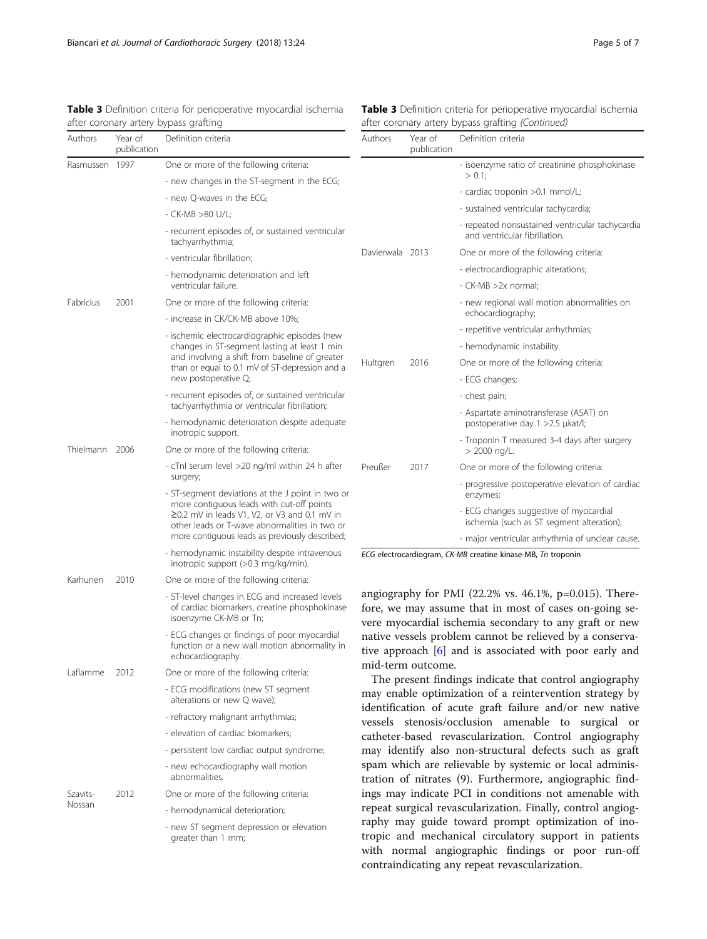| Authors        | Year of<br>publication | Definition criteria                                                                                                                              | Authors                                                      | Year of<br>publication | Definition criteria                                                                 |  |  |
|----------------|------------------------|--------------------------------------------------------------------------------------------------------------------------------------------------|--------------------------------------------------------------|------------------------|-------------------------------------------------------------------------------------|--|--|
| Rasmussen 1997 |                        | One or more of the following criteria:                                                                                                           |                                                              |                        | - isoenzyme ratio of creatinine phosphokinase                                       |  |  |
|                |                        | - new changes in the ST-segment in the ECG;                                                                                                      |                                                              |                        | $> 0.1$ ;                                                                           |  |  |
|                |                        | - new Q-waves in the ECG;                                                                                                                        |                                                              |                        | - cardiac troponin > 0.1 mmol/L;                                                    |  |  |
|                |                        | - CK-MB >80 U/L:                                                                                                                                 |                                                              |                        | - sustained ventricular tachycardia;                                                |  |  |
|                |                        | - recurrent episodes of, or sustained ventricular<br>tachyarrhythmia;                                                                            |                                                              |                        | - repeated nonsustained ventricular tachycardia<br>and ventricular fibrillation.    |  |  |
|                |                        | - ventricular fibrillation;                                                                                                                      | Davierwala 2013                                              |                        | One or more of the following criteria:                                              |  |  |
|                |                        | - hemodynamic deterioration and left                                                                                                             |                                                              |                        | - electrocardiographic alterations;                                                 |  |  |
|                |                        | ventricular failure.                                                                                                                             |                                                              |                        | - CK-MB >2x normal;                                                                 |  |  |
| Fabricius      | 2001                   | One or more of the following criteria:                                                                                                           |                                                              |                        | - new regional wall motion abnormalities on<br>echocardiography;                    |  |  |
|                |                        | - increase in CK/CK-MB above 10%;                                                                                                                |                                                              |                        | - repetitive ventricular arrhythmias;                                               |  |  |
|                |                        | - ischemic electrocardiographic episodes (new                                                                                                    |                                                              |                        | - hemodynamic instability.                                                          |  |  |
|                |                        | changes in ST-segment lasting at least 1 min<br>and involving a shift from baseline of greater                                                   | Hultgren                                                     | 2016                   |                                                                                     |  |  |
|                |                        | than or equal to 0.1 mV of ST-depression and a                                                                                                   |                                                              |                        | One or more of the following criteria:                                              |  |  |
|                |                        | new postoperative Q;                                                                                                                             |                                                              |                        | - ECG changes;                                                                      |  |  |
|                |                        | - recurrent episodes of, or sustained ventricular<br>tachyarrhythmia or ventricular fibrillation;                                                |                                                              |                        | - chest pain;                                                                       |  |  |
|                |                        | - hemodynamic deterioration despite adequate                                                                                                     |                                                              |                        | - Aspartate aminotransferase (ASAT) on<br>postoperative day 1 > 2.5 µkat/l;         |  |  |
| Thielmann      | 2006                   | inotropic support.<br>One or more of the following criteria:                                                                                     |                                                              |                        | - Troponin T measured 3-4 days after surgery<br>> 2000 ng/L.                        |  |  |
|                |                        | - cTnl serum level >20 ng/ml within 24 h after                                                                                                   | Preußer                                                      | 2017                   | One or more of the following criteria:                                              |  |  |
|                |                        | surgery;<br>- ST-segment deviations at the J point in two or                                                                                     |                                                              |                        | - progressive postoperative elevation of cardiac<br>enzymes;                        |  |  |
|                |                        | more contiguous leads with cut-off points<br>$\geq$ 0.2 mV in leads V1, V2, or V3 and 0.1 mV in<br>other leads or T-wave abnormalities in two or |                                                              |                        | - ECG changes suggestive of myocardial<br>ischemia (such as ST segment alteration); |  |  |
|                |                        | more contiguous leads as previously described;                                                                                                   |                                                              |                        | - major ventricular arrhythmia of unclear cause.                                    |  |  |
|                |                        | - hemodynamic instability despite intravenous<br>inotropic support (>0.3 mg/kg/min).                                                             | ECG electrocardiogram, CK-MB creatine kinase-MB, Tn troponin |                        |                                                                                     |  |  |

<span id="page-4-0"></span>Table 3 Definition criteria for perioperative myocardial ischemia after coronary artery bypass grafting

angiography for PMI (22.2% vs. 46.1%, p=0.015). Therefore, we may assume that in most of cases on-going severe myocardial ischemia secondary to any graft or new native vessels problem cannot be relieved by a conservative approach [\[6](#page-6-0)] and is associated with poor early and mid-term outcome.

The present findings indicate that control angiography may enable optimization of a reintervention strategy by identification of acute graft failure and/or new native vessels stenosis/occlusion amenable to surgical or catheter-based revascularization. Control angiography may identify also non-structural defects such as graft spam which are relievable by systemic or local administration of nitrates (9). Furthermore, angiographic findings may indicate PCI in conditions not amenable with repeat surgical revascularization. Finally, control angiography may guide toward prompt optimization of inotropic and mechanical circulatory support in patients with normal angiographic findings or poor run-off contraindicating any repeat revascularization.

## - ECG changes or findings of poor myocardial function or a new wall motion abnormality in echocardiography.

Karhunen 2010 One or more of the following criteria:

Laflamme 2012 One or more of the following criteria: - ECG modifications (new ST segment

alterations or new Q wave); - refractory malignant arrhythmias;

isoenzyme CK-MB or Tn;

- 
- elevation of cardiac biomarkers;
- persistent low cardiac output syndrome;

- ST-level changes in ECG and increased levels of cardiac biomarkers, creatine phosphokinase

- new echocardiography wall motion abnormalities.

Szavits-Nossan 2012 One or more of the following criteria:

- hemodynamical deterioration;

- new ST segment depression or elevation greater than 1 mm;

Table 3 Definition criteria for perioperative myocardial ischemia after coronary artery bypass grafting (Continued)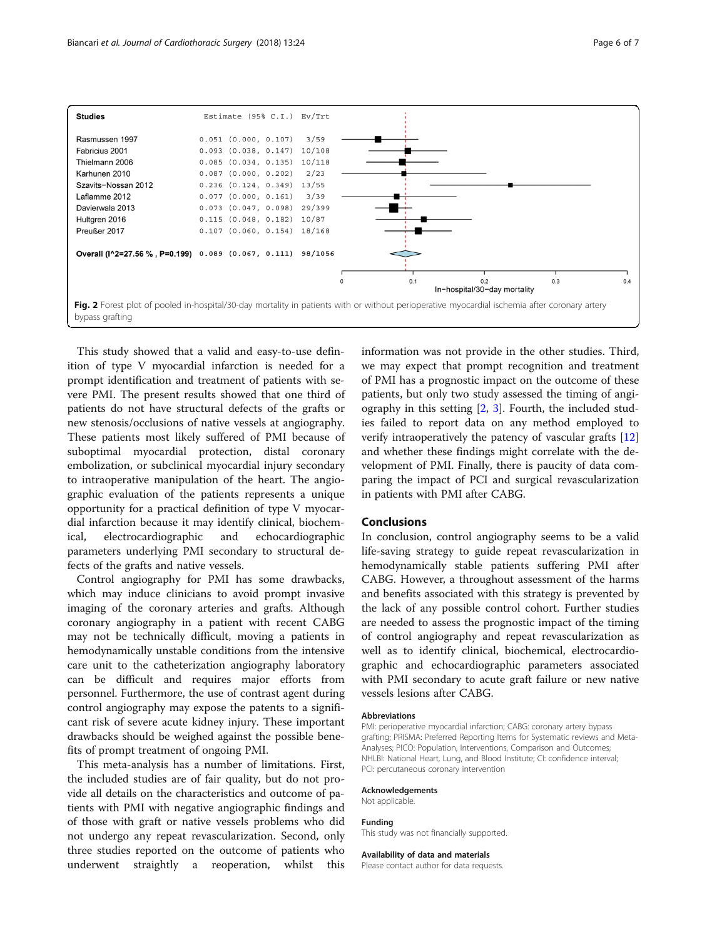<span id="page-5-0"></span>

This study showed that a valid and easy-to-use definition of type V myocardial infarction is needed for a prompt identification and treatment of patients with severe PMI. The present results showed that one third of patients do not have structural defects of the grafts or new stenosis/occlusions of native vessels at angiography. These patients most likely suffered of PMI because of suboptimal myocardial protection, distal coronary embolization, or subclinical myocardial injury secondary to intraoperative manipulation of the heart. The angiographic evaluation of the patients represents a unique opportunity for a practical definition of type V myocardial infarction because it may identify clinical, biochemical, electrocardiographic and echocardiographic parameters underlying PMI secondary to structural defects of the grafts and native vessels.

Control angiography for PMI has some drawbacks, which may induce clinicians to avoid prompt invasive imaging of the coronary arteries and grafts. Although coronary angiography in a patient with recent CABG may not be technically difficult, moving a patients in hemodynamically unstable conditions from the intensive care unit to the catheterization angiography laboratory can be difficult and requires major efforts from personnel. Furthermore, the use of contrast agent during control angiography may expose the patents to a significant risk of severe acute kidney injury. These important drawbacks should be weighed against the possible benefits of prompt treatment of ongoing PMI.

This meta-analysis has a number of limitations. First, the included studies are of fair quality, but do not provide all details on the characteristics and outcome of patients with PMI with negative angiographic findings and of those with graft or native vessels problems who did not undergo any repeat revascularization. Second, only three studies reported on the outcome of patients who underwent straightly a reoperation, whilst this information was not provide in the other studies. Third, we may expect that prompt recognition and treatment of PMI has a prognostic impact on the outcome of these patients, but only two study assessed the timing of angiography in this setting  $[2, 3]$  $[2, 3]$  $[2, 3]$  $[2, 3]$  $[2, 3]$ . Fourth, the included studies failed to report data on any method employed to verify intraoperatively the patency of vascular grafts [[12](#page-6-0)] and whether these findings might correlate with the development of PMI. Finally, there is paucity of data comparing the impact of PCI and surgical revascularization in patients with PMI after CABG.

#### Conclusions

In conclusion, control angiography seems to be a valid life-saving strategy to guide repeat revascularization in hemodynamically stable patients suffering PMI after CABG. However, a throughout assessment of the harms and benefits associated with this strategy is prevented by the lack of any possible control cohort. Further studies are needed to assess the prognostic impact of the timing of control angiography and repeat revascularization as well as to identify clinical, biochemical, electrocardiographic and echocardiographic parameters associated with PMI secondary to acute graft failure or new native vessels lesions after CABG.

#### Abbreviations

PMI: perioperative myocardial infarction; CABG: coronary artery bypass grafting; PRISMA: Preferred Reporting Items for Systematic reviews and Meta-Analyses; PICO: Population, Interventions, Comparison and Outcomes; NHLBI: National Heart, Lung, and Blood Institute; CI: confidence interval; PCI: percutaneous coronary intervention

#### Acknowledgements

Not applicable.

#### Funding

This study was not financially supported.

#### Availability of data and materials

Please contact author for data requests.